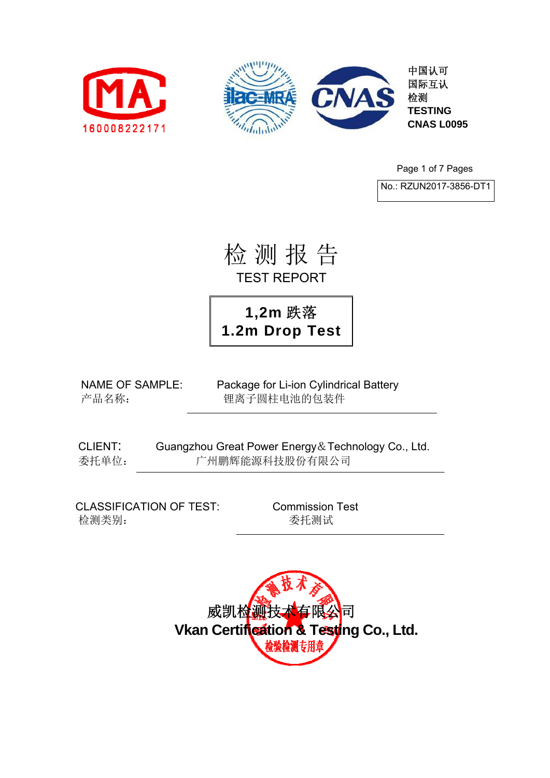



中国认可 国际互认 检测 **TESTING CNAS L0095** 

Page 1 of 7 Pages

No.: RZUN2017-3856-DT1

检 测 报 告 TEST REPORT

**1,2m** 跌落 **1.2m Drop Test**

NAME OF SAMPLE: Package for Li-ion Cylindrical Battery 产品名称: 锂离子圆柱电池的包装件

CLIENT: Guangzhou Great Power Energy&Technology Co., Ltd. 委托单位: 广州鹏辉能源科技股份有限公司

CLASSIFICATION OF TEST: Commission Test 检测类别: 李武 医神经节 医托测试

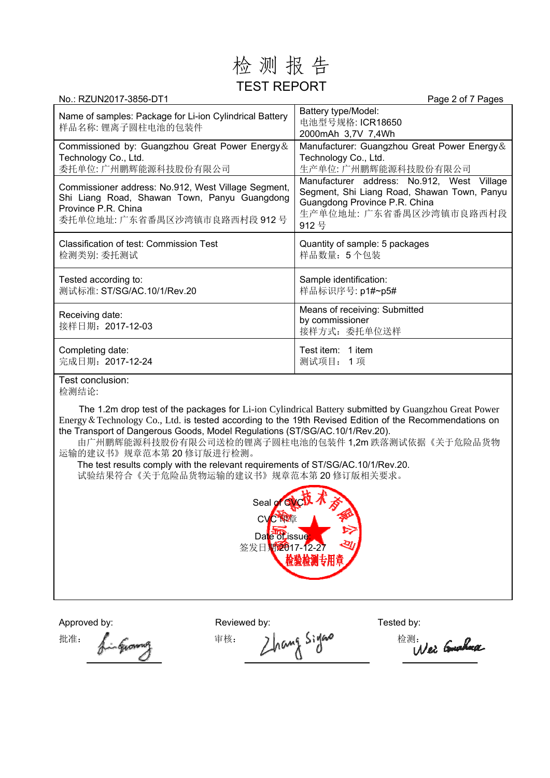## 检 测 报 告 TEST REPORT

| No.: RZUN2017-3856-DT1                                                                                                                                     | Page 2 of 7 Pages                                                                                                                                             |
|------------------------------------------------------------------------------------------------------------------------------------------------------------|---------------------------------------------------------------------------------------------------------------------------------------------------------------|
| Name of samples: Package for Li-ion Cylindrical Battery<br>样品名称: 锂离子圆柱电池的包装件                                                                               | Battery type/Model:<br>电池型号规格: ICR18650<br>2000mAh 3,7V 7,4Wh                                                                                                 |
| Commissioned by: Guangzhou Great Power Energy &<br>Technology Co., Ltd.<br>委托单位: 广州鹏辉能源科技股份有限公司                                                            | Manufacturer: Guangzhou Great Power Energy &<br>Technology Co., Ltd.<br>生产单位: 广州鹏辉能源科技股份有限公司                                                                  |
| Commissioner address: No.912, West Village Segment,<br>Shi Liang Road, Shawan Town, Panyu Guangdong<br>Province P.R. China<br>委托单位地址: 广东省番禺区沙湾镇市良路西村段 912号 | Manufacturer address: No.912, West Village<br>Segment, Shi Liang Road, Shawan Town, Panyu<br>Guangdong Province P.R. China<br>生产单位地址: 广东省番禺区沙湾镇市良路西村段<br>912号 |
| Classification of test: Commission Test<br>检测类别: 委托测试                                                                                                      | Quantity of sample: 5 packages<br>样品数量: 5个包装                                                                                                                  |
| Tested according to:<br>测试标准: ST/SG/AC.10/1/Rev.20                                                                                                         | Sample identification:<br>样品标识序号: p1#~p5#                                                                                                                     |
| Receiving date:<br>接样日期: 2017-12-03                                                                                                                        | Means of receiving: Submitted<br>by commissioner<br>接样方式: 委托单位送样                                                                                              |
| Completing date:<br>完成日期: 2017-12-24                                                                                                                       | Test item: 1 item<br>测试项目: 1项                                                                                                                                 |
|                                                                                                                                                            |                                                                                                                                                               |

Test conclusion:

检测结论:

The 1.2m drop test of the packages for Li-ion Cylindrical Battery submitted by Guangzhou Great Power Energy&Technology Co., Ltd. is tested according to the 19th Revised Edition of the Recommendations on the Transport of Dangerous Goods, Model Regulations (ST/SG/AC.10/1/Rev.20).

由广州鹏辉能源科技股份有限公司送检的锂离子圆柱电池的包装件 1,2m 跌落测试依据《关于危险品货物 运输的建议书》规章范本第 20 修订版进行检测。

The test results comply with the relevant requirements of ST/SG/AC.10/1/Rev.20. 试验结果符合《关于危险品货物运输的建议书》规章范本第 20 修订版相关要求。



Approved by: Tested by: Reviewed by: Tested by:

批准: fingerousing = 市核: Zhang Signs = 检测: Wei Gushaa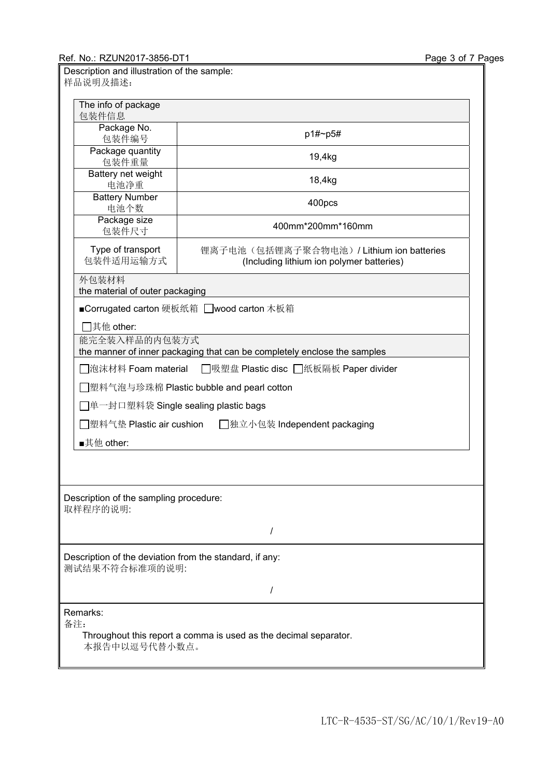| Description and illustration of the sample:<br>样品说明及描述:                                  |                                                                                      |  |  |  |
|------------------------------------------------------------------------------------------|--------------------------------------------------------------------------------------|--|--|--|
| The info of package<br>包装件信息                                                             |                                                                                      |  |  |  |
| Package No.<br>包装件编号                                                                     | p1#~p5#                                                                              |  |  |  |
| Package quantity<br>包装件重量                                                                | 19,4kg                                                                               |  |  |  |
| Battery net weight<br>电池净重                                                               | 18,4kg                                                                               |  |  |  |
| <b>Battery Number</b><br>电池个数                                                            | 400pcs                                                                               |  |  |  |
| Package size<br>包装件尺寸                                                                    | 400mm*200mm*160mm                                                                    |  |  |  |
| Type of transport<br>包装件适用运输方式                                                           | 锂离子电池(包括锂离子聚合物电池)/Lithium ion batteries<br>(Including lithium ion polymer batteries) |  |  |  |
| 外包装材料<br>the material of outer packaging                                                 |                                                                                      |  |  |  |
| ■Corrugated carton 硬板纸箱 □wood carton 木板箱                                                 |                                                                                      |  |  |  |
| 7其他 other:<br>能完全装入样品的内包装方式                                                              |                                                                                      |  |  |  |
| the manner of inner packaging that can be completely enclose the samples                 |                                                                                      |  |  |  |
| □泡沫材料 Foam material<br>□吸塑盘 Plastic disc □纸板隔板 Paper divider                             |                                                                                      |  |  |  |
| 图型料气泡与珍珠棉 Plastic bubble and pearl cotton                                                |                                                                                      |  |  |  |
| ]单一封口塑料袋 Single sealing plastic bags                                                     |                                                                                      |  |  |  |
| <sup> </sup> 塑料气垫 Plastic air cushion<br>□独立小包装 Independent packaging                    |                                                                                      |  |  |  |
| ■其他 other:                                                                               |                                                                                      |  |  |  |
|                                                                                          |                                                                                      |  |  |  |
| Description of the sampling procedure:<br>取样程序的说明:                                       |                                                                                      |  |  |  |
| I                                                                                        |                                                                                      |  |  |  |
| Description of the deviation from the standard, if any:<br>测试结果不符合标准项的说明:                |                                                                                      |  |  |  |
| $\prime$                                                                                 |                                                                                      |  |  |  |
| Remarks:                                                                                 |                                                                                      |  |  |  |
| 备注:<br>Throughout this report a comma is used as the decimal separator.<br>本报告中以逗号代替小数点。 |                                                                                      |  |  |  |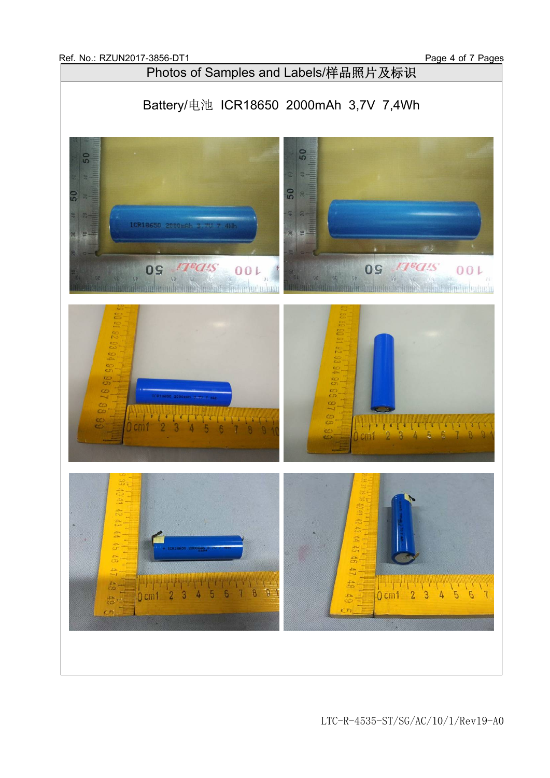

LTC-R-4535-ST/SG/AC/10/1/Rev19-A0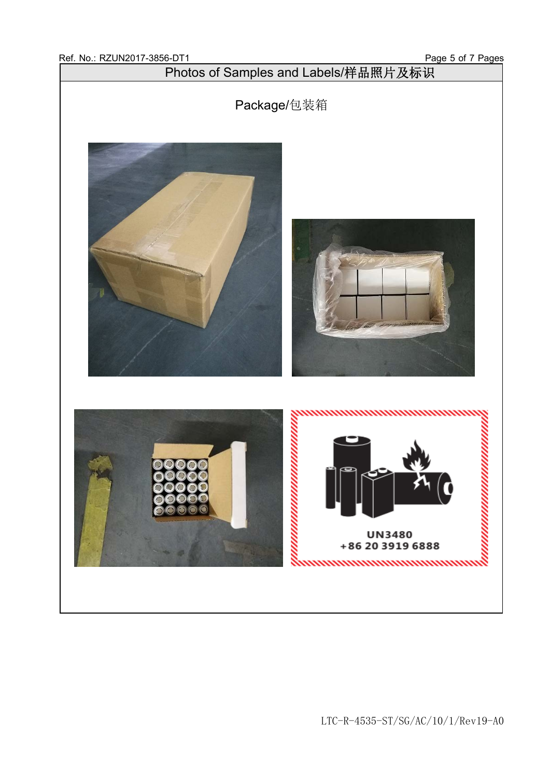Photos of Samples and Labels/样品照片及标识

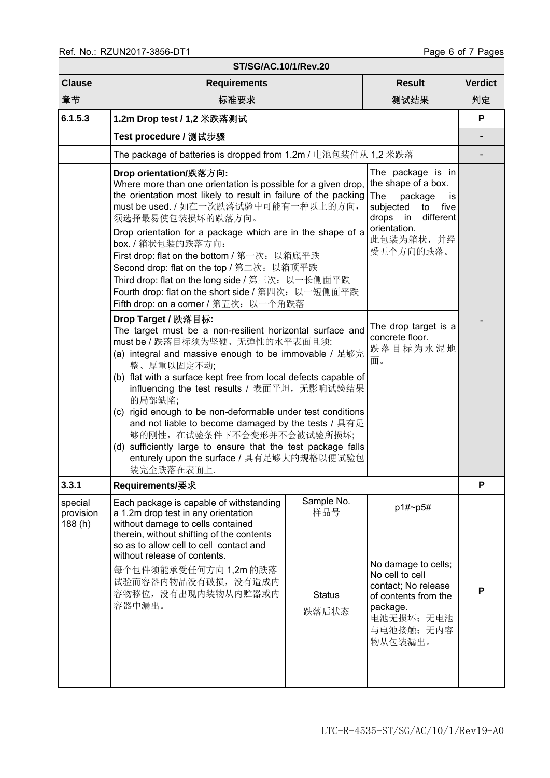| ST/SG/AC.10/1/Rev.20           |                                                                                                                                                                                                                                                                                                                                                                                                                                                                                                                                                                                                                                                                                                                                                          |                                                           |                                                                                                                                         |                |  |  |
|--------------------------------|----------------------------------------------------------------------------------------------------------------------------------------------------------------------------------------------------------------------------------------------------------------------------------------------------------------------------------------------------------------------------------------------------------------------------------------------------------------------------------------------------------------------------------------------------------------------------------------------------------------------------------------------------------------------------------------------------------------------------------------------------------|-----------------------------------------------------------|-----------------------------------------------------------------------------------------------------------------------------------------|----------------|--|--|
| <b>Clause</b>                  | <b>Requirements</b>                                                                                                                                                                                                                                                                                                                                                                                                                                                                                                                                                                                                                                                                                                                                      |                                                           | <b>Result</b>                                                                                                                           | <b>Verdict</b> |  |  |
| 章节                             | 标准要求                                                                                                                                                                                                                                                                                                                                                                                                                                                                                                                                                                                                                                                                                                                                                     |                                                           | 测试结果                                                                                                                                    | 判定             |  |  |
| 6.1.5.3                        | 1.2m Drop test / 1,2 米跌落测试                                                                                                                                                                                                                                                                                                                                                                                                                                                                                                                                                                                                                                                                                                                               |                                                           |                                                                                                                                         |                |  |  |
|                                | Test procedure / 测试步骤                                                                                                                                                                                                                                                                                                                                                                                                                                                                                                                                                                                                                                                                                                                                    |                                                           |                                                                                                                                         |                |  |  |
|                                | The package of batteries is dropped from 1.2m / 电池包装件从 1,2 米跌落                                                                                                                                                                                                                                                                                                                                                                                                                                                                                                                                                                                                                                                                                           |                                                           |                                                                                                                                         |                |  |  |
|                                | The package is in<br>Drop orientation/跌落方向:<br>the shape of a box.<br>Where more than one orientation is possible for a given drop,<br>the orientation most likely to result in failure of the packing<br><b>The</b><br>package<br>is<br>must be used. / 如在一次跌落试验中可能有一种以上的方向,<br>subjected<br>five<br>to<br>different<br>须选择最易使包装损坏的跌落方向。<br>drops in<br>orientation.<br>Drop orientation for a package which are in the shape of a<br>此包装为箱状,并经<br>box. / 箱状包装的跌落方向:<br>受五个方向的跌落。<br>First drop: flat on the bottom / 第一次: 以箱底平跌<br>Second drop: flat on the top / 第二次: 以箱顶平跌<br>Third drop: flat on the long side / 第三次: 以一长侧面平跌<br>Fourth drop: flat on the short side / 第四次: 以一短侧面平跌<br>Fifth drop: on a corner / 第五次: 以一个角跌落<br>Drop Target / 跌落目标: |                                                           |                                                                                                                                         |                |  |  |
|                                | The target must be a non-resilient horizontal surface and<br>must be / 跌落目标须为坚硬、无弹性的水平表面且须:<br>(a) integral and massive enough to be immovable / 足够完<br>整、厚重以固定不动;<br>(b) flat with a surface kept free from local defects capable of<br>influencing the test results / 表面平坦, 无影响试验结果<br>的局部缺陷;<br>(c) rigid enough to be non-deformable under test conditions<br>and not liable to become damaged by the tests / 具有足<br>够的刚性, 在试验条件下不会变形并不会被试验所损坏;<br>(d) sufficiently large to ensure that the test package falls<br>enturely upon the surface / 具有足够大的规格以便试验包<br>装完全跌落在表面上。                                                                                                                                                                           | The drop target is a<br>concrete floor.<br>跌落目标为水泥地<br>面。 |                                                                                                                                         |                |  |  |
| 3.3.1                          | <b>Requirements/要求</b>                                                                                                                                                                                                                                                                                                                                                                                                                                                                                                                                                                                                                                                                                                                                   |                                                           |                                                                                                                                         | P              |  |  |
| special<br>provision<br>188(h) | Each package is capable of withstanding<br>a 1.2m drop test in any orientation<br>without damage to cells contained<br>therein, without shifting of the contents<br>so as to allow cell to cell contact and<br>without release of contents.<br>每个包件须能承受任何方向 1,2m 的跌落<br>试验而容器内物品没有破损, 没有造成内<br>容物移位, 没有出现内装物从内贮器或内<br>容器中漏出。                                                                                                                                                                                                                                                                                                                                                                                                                             | Sample No.<br>样品号                                         | p1#~p5#                                                                                                                                 |                |  |  |
|                                |                                                                                                                                                                                                                                                                                                                                                                                                                                                                                                                                                                                                                                                                                                                                                          | <b>Status</b><br>跌落后状态                                    | No damage to cells;<br>No cell to cell<br>contact; No release<br>of contents from the<br>package.<br>电池无损坏; 无电池<br>与电池接触;无内容<br>物从包装漏出。 | P              |  |  |